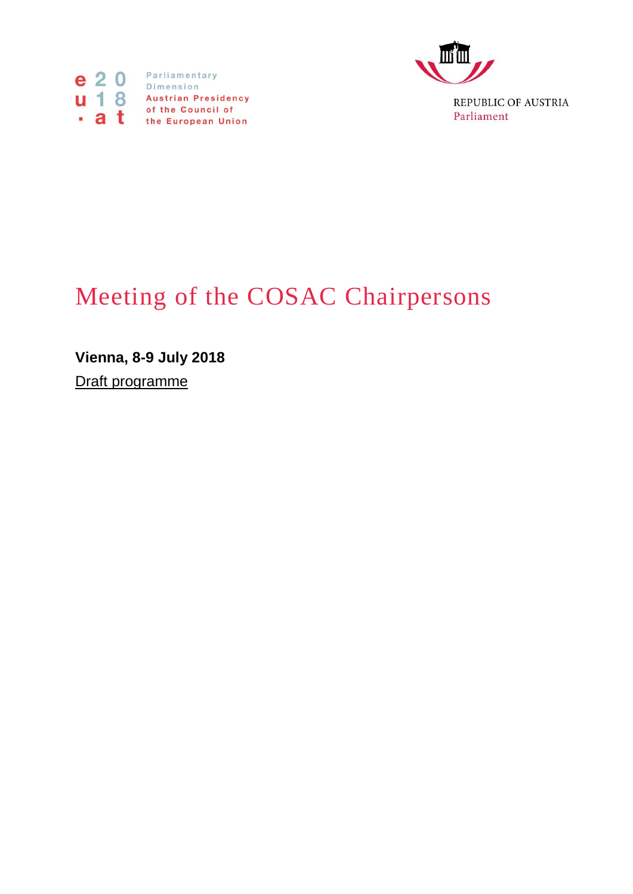



Parliament

## Meeting of the COSAC Chairpersons

**Vienna, 8-9 July 2018**

Draft programme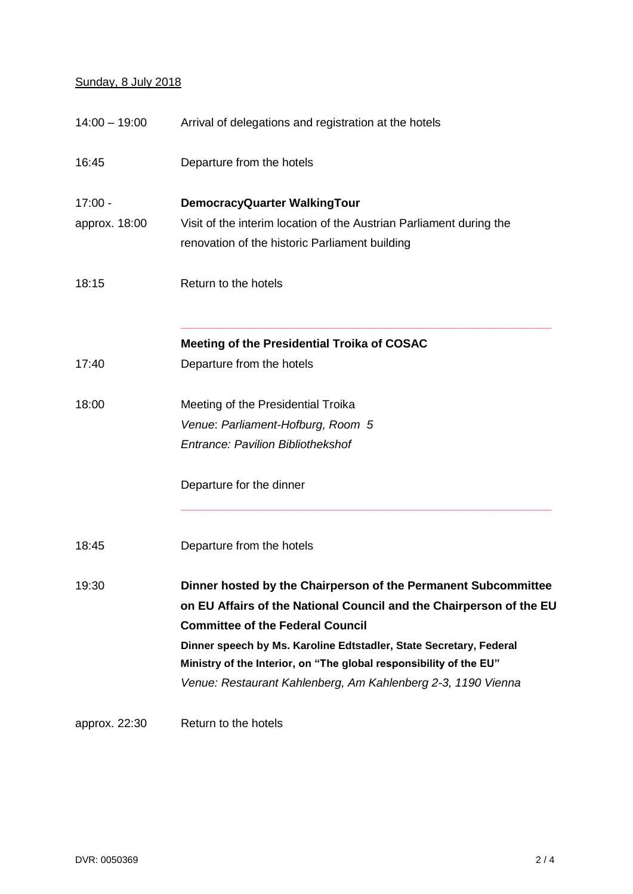## Sunday, 8 July 2018

| $14:00 - 19:00$ | Arrival of delegations and registration at the hotels               |
|-----------------|---------------------------------------------------------------------|
| 16:45           | Departure from the hotels                                           |
| $17:00 -$       | DemocracyQuarter WalkingTour                                        |
| approx. 18:00   | Visit of the interim location of the Austrian Parliament during the |
|                 | renovation of the historic Parliament building                      |
| 18:15           | Return to the hotels                                                |
|                 | Meeting of the Presidential Troika of COSAC                         |
| 17:40           | Departure from the hotels                                           |
| 18:00           | Meeting of the Presidential Troika                                  |
|                 | Venue: Parliament-Hofburg, Room 5                                   |
|                 | <b>Entrance: Pavilion Bibliothekshof</b>                            |
|                 | Departure for the dinner                                            |
| 18:45           | Departure from the hotels                                           |
| 19:30           | Dinner hosted by the Chairperson of the Permanent Subcommittee      |
|                 | on EU Affairs of the National Council and the Chairperson of the EU |
|                 | <b>Committee of the Federal Council</b>                             |
|                 | Dinner speech by Ms. Karoline Edtstadler, State Secretary, Federal  |
|                 | Ministry of the Interior, on "The global responsibility of the EU"  |
|                 | Venue: Restaurant Kahlenberg, Am Kahlenberg 2-3, 1190 Vienna        |
| approx. 22:30   | Return to the hotels                                                |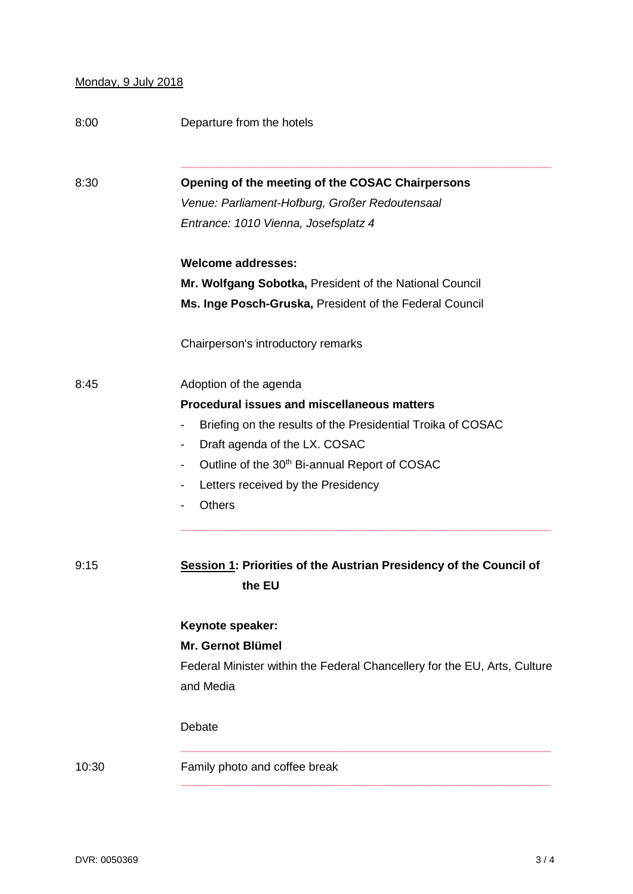## Monday, 9 July 2018

| 8:00  | Departure from the hotels                                                 |
|-------|---------------------------------------------------------------------------|
| 8:30  | Opening of the meeting of the COSAC Chairpersons                          |
|       | Venue: Parliament-Hofburg, Großer Redoutensaal                            |
|       | Entrance: 1010 Vienna, Josefsplatz 4                                      |
|       | <b>Welcome addresses:</b>                                                 |
|       | Mr. Wolfgang Sobotka, President of the National Council                   |
|       | Ms. Inge Posch-Gruska, President of the Federal Council                   |
|       | Chairperson's introductory remarks                                        |
| 8:45  | Adoption of the agenda                                                    |
|       | <b>Procedural issues and miscellaneous matters</b>                        |
|       | Briefing on the results of the Presidential Troika of COSAC               |
|       | Draft agenda of the LX. COSAC<br>-                                        |
|       | Outline of the 30 <sup>th</sup> Bi-annual Report of COSAC                 |
|       | Letters received by the Presidency<br>-                                   |
|       | <b>Others</b>                                                             |
| 9:15  | Session 1: Priorities of the Austrian Presidency of the Council of        |
|       | the EU                                                                    |
|       | Keynote speaker:                                                          |
|       | Mr. Gernot Blümel                                                         |
|       | Federal Minister within the Federal Chancellery for the EU, Arts, Culture |
|       | and Media                                                                 |
|       | Debate                                                                    |
| 10:30 | Family photo and coffee break                                             |